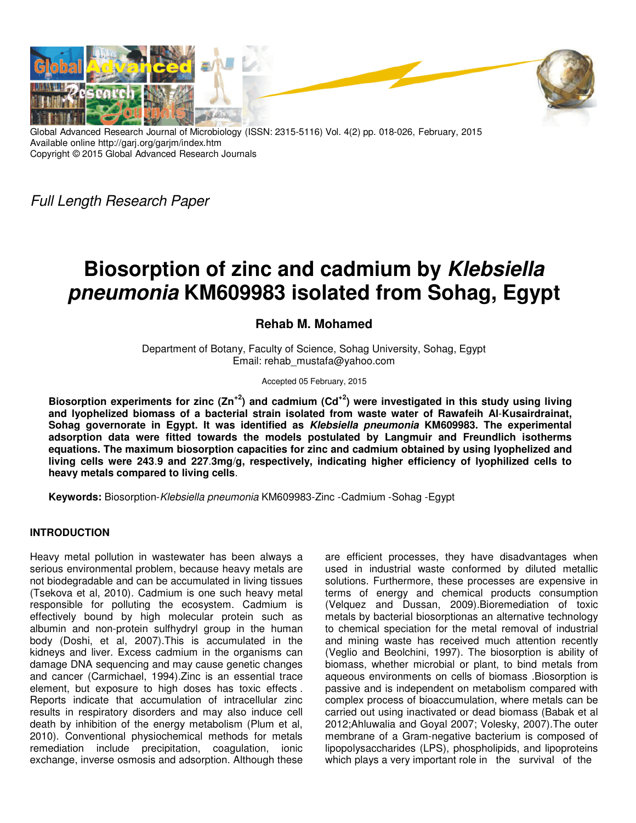

Global Advanced Research Journal of Microbiology (ISSN: 2315-5116) Vol. 4(2) pp. 018-026, February, 2015 Available online http://garj.org/garjm/index.htm Copyright © 2015 Global Advanced Research Journals

Full Length Research Paper

# **Biosorption of zinc and cadmium by Klebsiella pneumonia KM609983 isolated from Sohag, Egypt**

## **Rehab M. Mohamed**

Department of Botany, Faculty of Science, Sohag University, Sohag, Egypt Email: rehab\_mustafa@yahoo.com

#### Accepted 05 February, 2015

**Biosorption experiments for zinc (Zn+2) and cadmium (Cd+2) were investigated in this study using living and lyophelized biomass of a bacterial strain isolated from waste water of Rawafeih Al**-**Kusairdrainat, Sohag governorate in Egypt. It was identified as Klebsiella pneumonia KM609983. The experimental adsorption data were fitted towards the models postulated by Langmuir and Freundlich isotherms equations. The maximum biosorption capacities for zinc and cadmium obtained by using lyophelized and living cells were 243**.**9 and 227**.**3mg**/**g, respectively, indicating higher efficiency of lyophilized cells to heavy metals compared to living cells**.

**Keywords:** Biosorption-Klebsiella pneumonia KM609983-Zinc - Cadmium - Sohag - Egypt

## **INTRODUCTION**

Heavy metal pollution in wastewater has been always a serious environmental problem, because heavy metals are not biodegradable and can be accumulated in living tissues (Tsekova et al, 2010). Cadmium is one such heavy metal responsible for polluting the ecosystem. Cadmium is effectively bound by high molecular protein such as albumin and non-protein sulfhydryl group in the human body (Doshi, et al, 2007).This is accumulated in the kidneys and liver. Excess cadmium in the organisms can damage DNA sequencing and may cause genetic changes and cancer (Carmichael, 1994).Zinc is an essential trace element, but exposure to high doses has toxic effects . Reports indicate that accumulation of intracellular zinc results in respiratory disorders and may also induce cell death by inhibition of the energy metabolism (Plum et al, 2010). Conventional physiochemical methods for metals remediation include precipitation, coagulation, ionic exchange, inverse osmosis and adsorption. Although these

are efficient processes, they have disadvantages when used in industrial waste conformed by diluted metallic solutions. Furthermore, these processes are expensive in terms of energy and chemical products consumption (Velquez and Dussan, 2009).Bioremediation of toxic metals by bacterial biosorptionas an alternative technology to chemical speciation for the metal removal of industrial and mining waste has received much attention recently (Veglio and Beolchini, 1997) . The biosorption is ability of biomass, whether microbial or plant, to bind metals from aqueous environments on cells of biomass .Biosorption is passive and is independent on metabolism compared with complex process of bioaccumulation, where metals can be carried out using inactivated or dead biomass (Babak et al 2012;Ahluwalia and Goyal 2007; Volesky, 2007).The outer membrane of a Gram-negative bacterium is composed of lipopolysaccharides (LPS), phospholipids, and lipoproteins which plays a very important role in the survival of the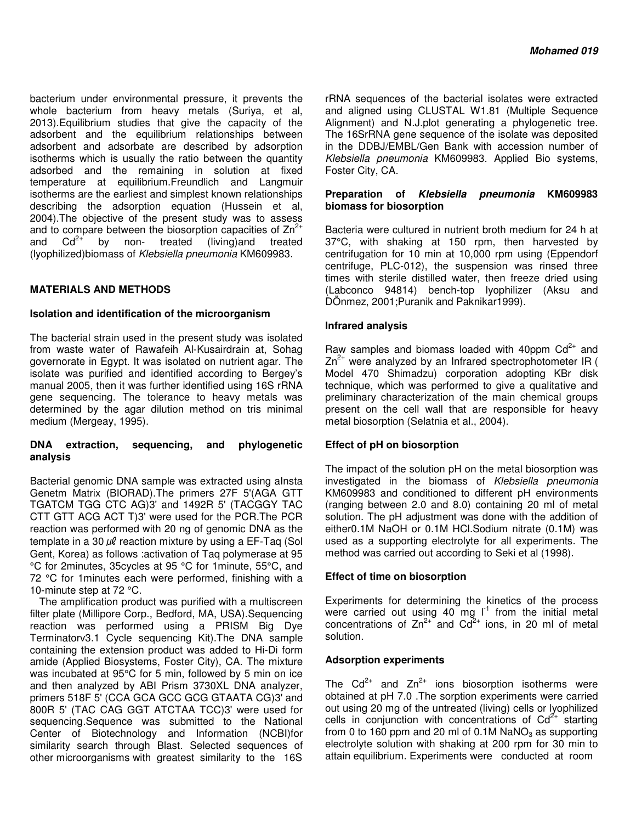bacterium under environmental pressure, it prevents the whole bacterium from heavy metals (Suriya, et al, 2013).Equilibrium studies that give the capacity of the adsorbent and the equilibrium relationships between adsorbent and adsorbate are described by adsorption isotherms which is usually the ratio between the quantity adsorbed and the remaining in solution at fixed temperature at equilibrium.Freundlich and Langmuir isotherms are the earliest and simplest known relationships describing the adsorption equation (Hussein et al, 2004).The objective of the present study was to assess and to compare between the biosorption capacities of  $Zn^2$ and  $Cd^{2+}$  by non- treated (living) and treated (lyophilized)biomass of Klebsiella pneumonia KM609983.

## **MATERIALS AND METHODS**

## **Isolation and identification of the microorganism**

The bacterial strain used in the present study was isolated from waste water of Rawafeih Al-Kusairdrain at, Sohag governorate in Egypt. It was isolated on nutrient agar. The isolate was purified and identified according to Bergey's manual 2005, then it was further identified using 16S rRNA gene sequencing. The tolerance to heavy metals was determined by the agar dilution method on tris minimal medium (Mergeay, 1995).

## **DNA extraction, sequencing, and phylogenetic analysis**

Bacterial genomic DNA sample was extracted using aInsta Genetm Matrix (BIORAD).The primers 27F 5'(AGA GTT TGATCM TGG CTC AG)3' and 1492R 5' (TACGGY TAC CTT GTT ACG ACT T)3' were used for the PCR.The PCR reaction was performed with 20 ng of genomic DNA as the template in a 30  $\mu$ l reaction mixture by using a EF-Taq (Sol Gent, Korea) as follows :activation of Taq polymerase at 95 °C for 2minutes, 35cycles at 95 °C for 1minute, 55°C, and 72 °C for 1minutes each were performed, finishing with a 10-minute step at 72 °C.

The amplification product was purified with a multiscreen filter plate (Millipore Corp., Bedford, MA, USA).Sequencing reaction was performed using a PRISM Big Dye Terminatorv3.1 Cycle sequencing Kit).The DNA sample containing the extension product was added to Hi-Di form amide (Applied Biosystems, Foster City), CA. The mixture was incubated at 95°C for 5 min, followed by 5 min on ice and then analyzed by ABI Prism 3730XL DNA analyzer, primers 518F 5' (CCA GCA GCC GCG GTAATA CG)3' and 800R 5' (TAC CAG GGT ATCTAA TCC)3' were used for sequencing.Sequence was submitted to the National Center of Biotechnology and Information (NCBI)for similarity search through Blast. Selected sequences of other microorganisms with greatest similarity to the 16S

rRNA sequences of the bacterial isolates were extracted and aligned using CLUSTAL W1.81 (Multiple Sequence Alignment) and N.J.plot generating a phylogenetic tree. The 16SrRNA gene sequence of the isolate was deposited in the DDBJ/EMBL/Gen Bank with accession number of Klebsiella pneumonia KM609983. Applied Bio systems, Foster City, CA.

## **Preparation of Klebsiella pneumonia KM609983 biomass for biosorption**

Bacteria were cultured in nutrient broth medium for 24 h at 37°C, with shaking at 150 rpm, then harvested by centrifugation for 10 min at 10,000 rpm using (Eppendorf centrifuge, PLC-012), the suspension was rinsed three times with sterile distilled water, then freeze dried using (Labconco 94814) bench-top lyophilizer (Aksu and DÖnmez, 2001;Puranik and Paknikar1999).

## **Infrared analysis**

Raw samples and biomass loaded with 40ppm  $Cd^{2+}$  and  $Zn^{2+}$  were analyzed by an Infrared spectrophotometer IR ( Model 470 Shimadzu) corporation adopting KBr disk technique, which was performed to give a qualitative and preliminary characterization of the main chemical groups present on the cell wall that are responsible for heavy metal biosorption (Selatnia et al., 2004).

## **Effect of pH on biosorption**

The impact of the solution pH on the metal biosorption was investigated in the biomass of Klebsiella pneumonia KM609983 and conditioned to different pH environments (ranging between 2.0 and 8.0) containing 20 ml of metal solution. The pH adjustment was done with the addition of either0.1M NaOH or 0.1M HCl.Sodium nitrate (0.1M) was used as a supporting electrolyte for all experiments. The method was carried out according to Seki et al (1998).

## **Effect of time on biosorption**

Experiments for determining the kinetics of the process were carried out using 40 mg  $I^1$  from the initial metal concentrations of  $Zn^{2+}$  and  $Cd^{2+}$  ions, in 20 ml of metal solution.

## **Adsorption experiments**

The  $Cd^{2+}$  and  $Zn^{2+}$  ions biosorption isotherms were obtained at pH 7.0 .The sorption experiments were carried out using 20 mg of the untreated (living) cells or lyophilized cells in conjunction with concentrations of  $Cd^{2+}$  starting from 0 to 160 ppm and 20 ml of 0.1M NaNO<sub>3</sub> as supporting electrolyte solution with shaking at 200 rpm for 30 min to attain equilibrium. Experiments were conducted at room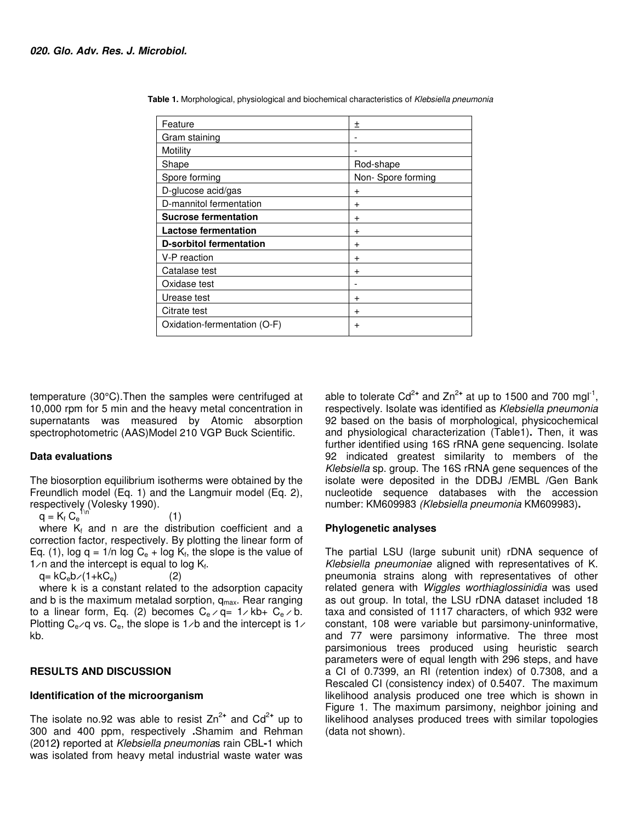| Feature                        | 土                 |
|--------------------------------|-------------------|
| Gram staining                  |                   |
| Motility                       |                   |
| Shape                          | Rod-shape         |
| Spore forming                  | Non-Spore forming |
| D-glucose acid/gas             | $\pm$             |
| D-mannitol fermentation        | $\pm$             |
| <b>Sucrose fermentation</b>    | $\mathrm{+}$      |
| Lactose fermentation           | $\,^+$            |
| <b>D-sorbitol fermentation</b> | $\pm$             |
| V-P reaction                   | $\pm$             |
| Catalase test                  | $\mathrm{+}$      |
| Oxidase test                   |                   |
| Urease test                    | $\mathrm{+}$      |
| Citrate test                   | $\ddot{}$         |
| Oxidation-fermentation (O-F)   | +                 |

 **Table 1.** Morphological, physiological and biochemical characteristics of Klebsiella pneumonia

temperature (30°C).Then the samples were centrifuged at 10,000 rpm for 5 min and the heavy metal concentration in supernatants was measured by Atomic absorption spectrophotometric (AAS)Model 210 VGP Buck Scientific.

#### **Data evaluations**

The biosorption equilibrium isotherms were obtained by the Freundlich model (Eq. 1) and the Langmuir model (Eq. 2), respectively (Volesky 1990).

 $q = K_f C_e$  $1\sqrt{n}$  (1) where  $K_f$  and n are the distribution coefficient and a correction factor, respectively. By plotting the linear form of Eq. (1), log  $q = 1/n$  log  $C_e$  + log  $K_f$ , the slope is the value of  $1/n$  and the intercept is equal to log  $K_f$ .

$$
q = kC_e b / (1 + kC_e)
$$
 (2)

where k is a constant related to the adsorption capacity and b is the maximum metalad sorption,  $q_{max}$ . Rear ranging to a linear form, Eq. (2) becomes  $C_e \times q = 1 \times kb + C_e \times b$ . Plotting  $C_e$   $\varphi$  vs.  $C_e$ , the slope is 1  $\varphi$  and the intercept is 1  $\varphi$ kb.

#### **RESULTS AND DISCUSSION**

#### **Identification of the microorganism**

The isolate no.92 was able to resist  $Zn^{2+}$  and  $Cd^{2+}$  up to 300 and 400 ppm, respectively **.** Shamim and Rehman (2012**)** reported at Klebsiella pneumonias rain CBL **-**1 which was isolated from heavy metal industrial waste water was

able to tolerate  $Cd^{2+}$  and  $Zn^{2+}$  at up to 1500 and 700 mgl<sup>-1</sup>, respectively. Isolate was identified as Klebsiella pneumonia 92 based on the basis of morphological, physicochemical and physiological characterization (Table1)**.** Then, it was further identified using 16S rRNA gene sequencing. Isolate 92 indicated greatest similarity to members of the Klebsiella sp. group. The 16S rRNA gene sequences of the isolate were deposited in the DDBJ **/**EMBL **/**Gen Bank nucleotide sequence databases with the accession number: KM609983 (Klebsiella pneumonia KM609983)**.** 

#### **Phylogenetic analyses**

The partial LSU (large subunit unit) rDNA sequence of Klebsiella pneumoniae aligned with representatives of K. pneumonia strains along with representatives of other related genera with Wiggles worthiaglossinidia was used as out group. In total, the LSU rDNA dataset included 18 taxa and consisted of 1117 characters, of which 932 were constant, 108 were variable but parsimony-uninformative, and 77 were parsimony informative. The three most parsimonious trees produced using heuristic search parameters were of equal length with 296 steps, and have a CI of 0.7399, an RI (retention index) of 0.7308, and a Rescaled CI (consistency index) of 0.5407. The maximum likelihood analysis produced one tree which is shown in Figure 1. The maximum parsimony, neighbor joining and likelihood analyses produced trees with similar topologies (data not shown).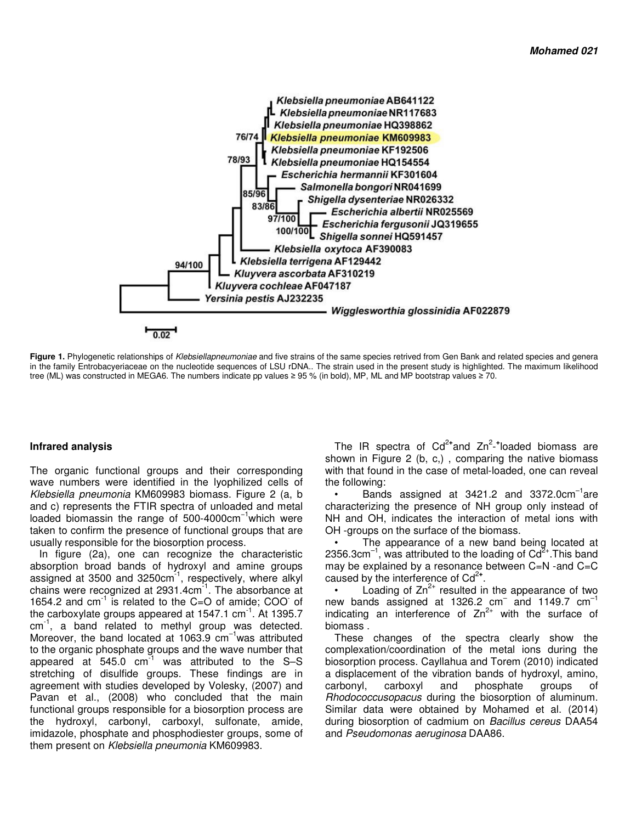

Figure 1. Phylogenetic relationships of Klebsiellapneumoniae and five strains of the same species retrived from Gen Bank and related species and genera in the family Entrobacyeriaceae on the nucleotide sequences of LSU rDNA.. The strain used in the present study is highlighted. The maximum likelihood tree (ML) was constructed in MEGA6. The numbers indicate pp values ≥ 95 % (in bold), MP, ML and MP bootstrap values ≥ 70.

#### **Infrared analysis**

The organic functional groups and their corresponding wave numbers were identified in the lyophilized cells of Klebsiella pneumonia KM609983 biomass. Figure 2 (a, b and c) represents the FTIR spectra of unloaded and metal loaded biomassin the range of 500-4000cm<sup>-1</sup>which were taken to confirm the presence of functional groups that are usually responsible for the biosorption process.

In figure (2a), one can recognize the characteristic absorption broad bands of hydroxyl and amine groups assigned at 3500 and  $3250 \text{cm}^{-1}$ , respectively, where alkyl chains were recognized at  $2931.4 \text{cm}^{-1}$ . The absorbance at 1654.2 and  $cm^{-1}$  is related to the C=O of amide; COO of the carboxylate groups appeared at  $1547.1$  cm<sup>-1</sup>. At 1395.7 cm<sup>-1</sup>, a band related to methyl group was detected. Moreover, the band located at 1063.9  $cm^{-1}$  was attributed to the organic phosphate groups and the wave number that appeared at  $545.0$  cm<sup>-1</sup> was attributed to the S-S stretching of disulfide groups. These findings are in agreement with studies developed by Volesky, (2007) and Pavan et al., (2008) who concluded that the main functional groups responsible for a biosorption process are the hydroxyl, carbonyl, carboxyl, sulfonate, amide, imidazole, phosphate and phosphodiester groups, some of them present on Klebsiella pneumonia KM609983.

The IR spectra of Cd<sup>2+</sup>and Zn<sup>2</sup>-<sup>+</sup>loaded biomass are shown in Figure 2 (b, c,) , comparing the native biomass with that found in the case of metal-loaded, one can reveal the following:

Bands assigned at  $3421.2$  and  $3372.0 \text{cm}^{-1}$ are characterizing the presence of NH group only instead of NH and OH, indicates the interaction of metal ions with OH -groups on the surface of the biomass.

The appearance of a new band being located at 2356.3cm<sup>-1</sup>, was attributed to the loading of  $Cd^{2+}$ . This band may be explained by a resonance between C=N - and C=C caused by the interference of Cd<sup>2+</sup>.

Loading of  $Zn^{2+}$  resulted in the appearance of two new bands assigned at 1326.2  $cm^{-}$  and 1149.7  $cm^{-1}$ indicating an interference of  $Zn^{2+}$  with the surface of biomass .

These changes of the spectra clearly show the complexation/coordination of the metal ions during the biosorption process. Cayllahua and Torem (2010) indicated a displacement of the vibration bands of hydroxyl, amino, carbonyl, carboxyl and phosphate groups of Rhodococcusopacus during the biosorption of aluminum. Similar data were obtained by Mohamed et al. (2014) during biosorption of cadmium on Bacillus cereus DAA54 and Pseudomonas aeruginosa DAA86.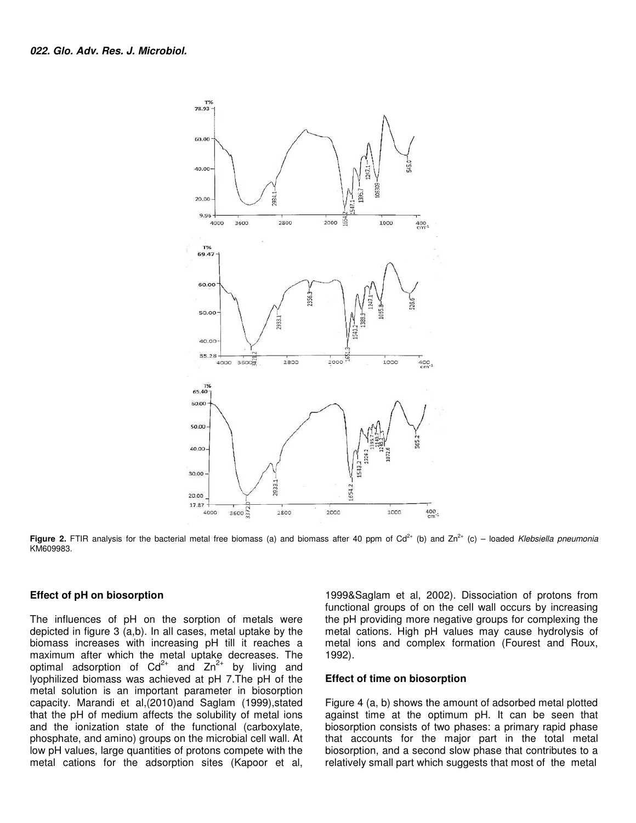

**Figure 2.** FTIR analysis for the bacterial metal free biomass (a) and biomass after 40 ppm of  $Cd<sup>2+</sup>$  (b) and  $Zn<sup>2+</sup>$  (c) – loaded Klebsiella pneumonia KM609983.

#### **Effect of pH on biosorption**

The influences of pH on the sorption of metals were depicted in figure 3 (a,b). In all cases, metal uptake by the biomass increases with increasing pH till it reaches a maximum after which the metal uptake decreases. The optimal adsorption of  $Cd^{2+}$  and  $Zn^{2+}$  by living and lyophilized biomass was achieved at pH 7.The pH of the metal solution is an important parameter in biosorption capacity. Marandi et al,(2010)and Saglam (1999),stated that the pH of medium affects the solubility of metal ions and the ionization state of the functional (carboxylate, phosphate, and amino) groups on the microbial cell wall. At low pH values, large quantities of protons compete with the metal cations for the adsorption sites (Kapoor et al,

1999&Saglam et al, 2002). Dissociation of protons from functional groups of on the cell wall occurs by increasing the pH providing more negative groups for complexing the metal cations. High pH values may cause hydrolysis of metal ions and complex formation (Fourest and Roux, 1992).

#### **Effect of time on biosorption**

Figure 4 (a, b) shows the amount of adsorbed metal plotted against time at the optimum pH. It can be seen that biosorption consists of two phases: a primary rapid phase that accounts for the major part in the total metal biosorption, and a second slow phase that contributes to a relatively small part which suggests that most of the metal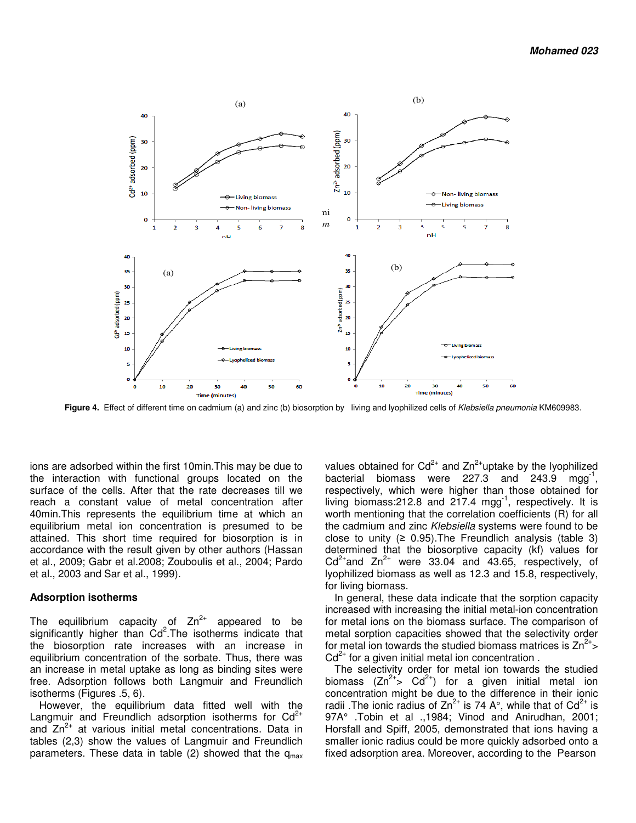

Figure 4. Effect of different time on cadmium (a) and zinc (b) biosorption by living and lyophilized cells of Klebsiella pneumonia KM609983.

ions are adsorbed within the first 10min.This may be due to the interaction with functional groups located on the surface of the cells. After that the rate decreases till we reach a constant value of metal concentration after 40min.This represents the equilibrium time at which an equilibrium metal ion concentration is presumed to be attained. This short time required for biosorption is in accordance with the result given by other authors (Hassan et al., 2009; Gabr et al.2008; Zouboulis et al., 2004; Pardo et al., 2003 and Sar et al., 1999).

#### **Adsorption isotherms**

The equilibrium capacity of  $Zn^{2+}$  appeared to be significantly higher than  $Cd^2$ . The isotherms indicate that the biosorption rate increases with an increase in equilibrium concentration of the sorbate. Thus, there was an increase in metal uptake as long as binding sites were free. Adsorption follows both Langmuir and Freundlich isotherms (Figures .5, 6).

However, the equilibrium data fitted well with the Langmuir and Freundlich adsorption isotherms for  $Cd^{2+}$ and  $Zn^{2+}$  at various initial metal concentrations. Data in tables (2,3) show the values of Langmuir and Freundlich parameters. These data in table (2) showed that the  $q_{max}$ 

values obtained for  $Cd^{2+}$  and  $Zn^{2+}$ uptake by the lyophilized bacterial biomass were 227.3 and 243.9 mgg<sup>-1</sup>, respectively, which were higher than those obtained for living biomass:  $212.8$  and  $217.4$  mgg<sup>-1</sup>, respectively. It is worth mentioning that the correlation coefficients (R) for all the cadmium and zinc Klebsiella systems were found to be close to unity  $(≥ 0.95)$ . The Freundlich analysis (table 3) determined that the biosorptive capacity (kf) values for  $Cd^{2+}$  and  $Zn^{2+}$  were 33.04 and 43.65, respectively, of lyophilized biomass as well as 12.3 and 15.8, respectively, for living biomass.

In general, these data indicate that the sorption capacity increased with increasing the initial metal-ion concentration for metal ions on the biomass surface. The comparison of metal sorption capacities showed that the selectivity order for metal ion towards the studied biomass matrices is  $Zn^{2+}$  $Cd<sup>2+</sup>$  for a given initial metal ion concentration.

The selectivity order for metal ion towards the studied biomass  $(Zn^{2+} > Cd^{2+})$  for a given initial metal ion concentration might be due to the difference in their ionic radii .The ionic radius of  $Zn^{2+}$  is 74 A°, while that of  $Cd^{2+}$  is 97A° .Tobin et al .,1984; Vinod and Anirudhan, 2001; Horsfall and Spiff, 2005, demonstrated that ions having a smaller ionic radius could be more quickly adsorbed onto a fixed adsorption area. Moreover, according to the Pearson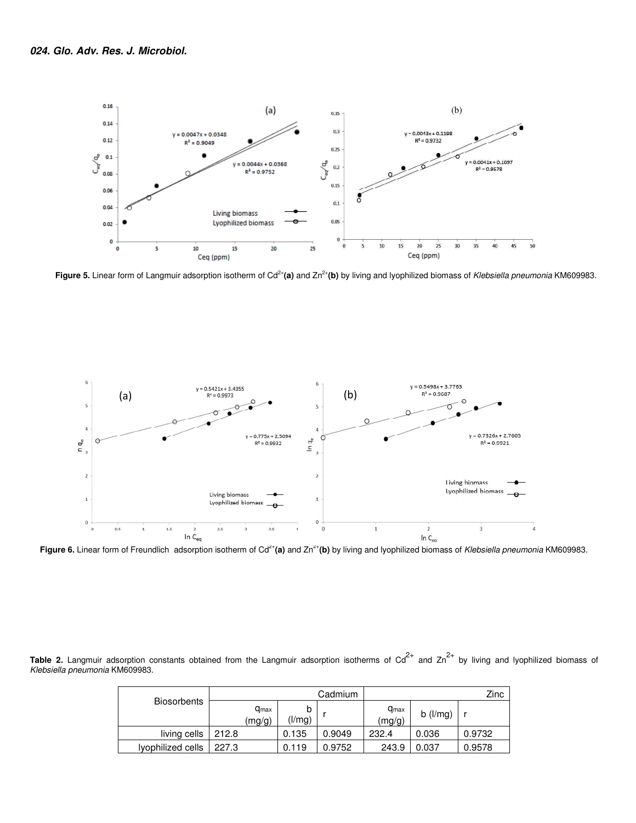

Figure 5. Linear form of Langmuir adsorption isotherm of Cd<sup>2+</sup>(a) and Zn<sup>2+</sup>(b) by living and lyophilized biomass of Klebsiella pneumonia KM609983.



Figure 6. Linear form of Freundlich adsorption isotherm of Cd<sup>2+</sup>(a) and Zn<sup>2+</sup>(b) by living and lyophilized biomass of Klebsiella pneumonia KM609983.

Table 2. Langmuir adsorption constants obtained from the Langmuir adsorption isotherms of Cd<sup>2+</sup> and Zn<sup>2+</sup> by living and lyophilized biomass of Klebsiella pneumonia KM609983.

| Biosorbents       | Cadmium                    |             |        |                     |                | Zinc   |
|-------------------|----------------------------|-------------|--------|---------------------|----------------|--------|
|                   | $q_{\text{max}}$<br>(mg/g) | b<br>(l/mg) |        | $q_{max}$<br>(mg/g) | $b$ ( $l/mg$ ) |        |
| living cells      | 212.8                      | 0.135       | 0.9049 | 232.4               | 0.036          | 0.9732 |
| lyophilized cells | 227.3                      | 0.119       | 0.9752 | 243.9               | 0.037          | 0.9578 |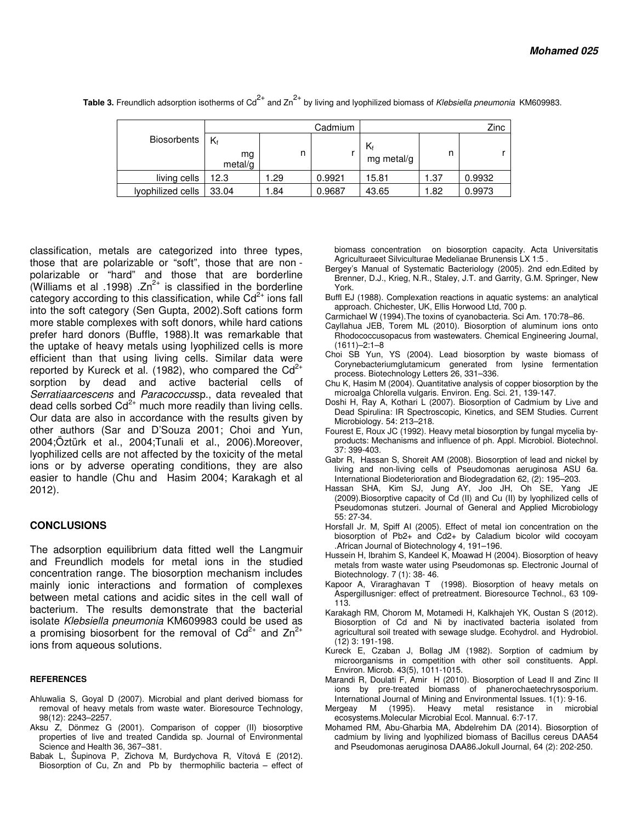|                    |                     |      | Cadmium | Zinc             |      |        |
|--------------------|---------------------|------|---------|------------------|------|--------|
| <b>Biosorbents</b> | Kf<br>mg<br>metal/g | n    |         | Kf<br>mg metal/g | n    |        |
| living cells       | 12.3                | .29  | 0.9921  | 15.81            | 1.37 | 0.9932 |
| lyophilized cells  | 33.04               | 1.84 | 0.9687  | 43.65            | 1.82 | 0.9973 |

**Table 3.** Freundlich adsorption isotherms of Cd<sup>2+</sup> and Zn<sup>2+</sup> by living and lyophilized biomass of Klebsiella pneumonia KM609983.

classification, metals are categorized into three types, those that are polarizable or "soft", those that are non polarizable or "hard" and those that are borderline (Williams et al .1998) . $Zn^{2+}$  is classified in the borderline category according to this classification, while  $Cd^{2+}$  ions fall into the soft category (Sen Gupta, 2002).Soft cations form more stable complexes with soft donors, while hard cations prefer hard donors (Buffle, 1988).It was remarkable that the uptake of heavy metals using lyophilized cells is more efficient than that using living cells. Similar data were reported by Kureck et al. (1982), who compared the  $Cd^{2+}$ sorption by dead and active bacterial cells of Serratiaarcescens and Paracoccussp., data revealed that dead cells sorbed  $Cd^{2+}$  much more readily than living cells. Our data are also in accordance with the results given by other authors (Sar and D'Souza 2001; Choi and Yun, 2004;Öztürk et al., 2004;Tunali et al., 2006).Moreover, lyophilized cells are not affected by the toxicity of the metal ions or by adverse operating conditions, they are also easier to handle (Chu and Hasim 2004; Karakagh et al 2012).

#### **CONCLUSIONS**

The adsorption equilibrium data fitted well the Langmuir and Freundlich models for metal ions in the studied concentration range. The biosorption mechanism includes mainly ionic interactions and formation of complexes between metal cations and acidic sites in the cell wall of bacterium. The results demonstrate that the bacterial isolate Klebsiella pneumonia KM609983 could be used as a promising biosorbent for the removal of  $Cd^{2+}$  and  $Zn^{2+}$ ions from aqueous solutions.

#### **REFERENCES**

- Ahluwalia S, Goyal D (2007). Microbial and plant derived biomass for removal of heavy metals from waste water. Bioresource Technology, 98(12): 2243–2257.
- Aksu Z, Dönmez G (2001). Comparison of copper (II) biosorptive properties of live and treated Candida sp. Journal of Environmental Science and Health 36, 367–381.
- Babak L, Šupinova P, Zichova M, Burdychova R, Vítová E (2012). Biosorption of Cu, Zn and Pb by thermophilic bacteria – effect of

biomass concentration on biosorption capacity. Acta Universitatis Agriculturaeet Silviculturae Medelianae Brunensis LX 1:5 .

- Bergey's Manual of Systematic Bacteriology (2005). 2nd edn.Edited by Brenner, D.J., Krieg, N.R., Staley, J.T. and Garrity, G.M. Springer, New York.
- Buffl EJ (1988). Complexation reactions in aquatic systems: an analytical approach. Chichester, UK, Ellis Horwood Ltd, 700 p.
- Carmichael W (1994).The toxins of cyanobacteria. Sci Am. 170:78–86.
- Cayllahua JEB, Torem ML (2010). Biosorption of aluminum ions onto Rhodococcusopacus from wastewaters. Chemical Engineering Journal, (1611)–2:1–8
- Choi SB Yun, YS (2004). Lead biosorption by waste biomass of Corynebacteriumglutamicum generated from lysine fermentation process. Biotechnology Letters 26, 331–336.
- Chu K, Hasim M (2004). Quantitative analysis of copper biosorption by the microalga Chlorella vulgaris. Environ. Eng. Sci. 21, 139-147.
- Doshi H, Ray A, Kothari L (2007). Biosorption of Cadmium by Live and Dead Spirulina: IR Spectroscopic, Kinetics, and SEM Studies. Current Microbiology. 54: 213–218.
- Fourest E, Roux JC (1992). Heavy metal biosorption by fungal mycelia byproducts: Mechanisms and influence of ph. Appl. Microbiol. Biotechnol. 37: 399-403.
- Gabr R, Hassan S, Shoreit AM (2008). Biosorption of lead and nickel by living and non-living cells of Pseudomonas aeruginosa ASU 6a. International Biodeterioration and Biodegradation 62, (2): 195–203.
- Hassan SHA, Kim SJ, Jung AY, Joo JH, Oh SE, Yang JE (2009).Biosorptive capacity of Cd (II) and Cu (II) by lyophilized cells of Pseudomonas stutzeri. Journal of General and Applied Microbiology 55: 27-34.
- Horsfall Jr. M, Spiff AI (2005). Effect of metal ion concentration on the biosorption of Pb2+ and Cd2+ by Caladium bicolor wild cocoyam .African Journal of Biotechnology 4, 191–196.
- Hussein H, Ibrahim S, Kandeel K, Moawad H (2004). Biosorption of heavy metals from waste water using Pseudomonas sp. Electronic Journal of Biotechnology. 7 (1): 38- 46.
- Kapoor A, Viraraghavan T (1998). Biosorption of heavy metals on Aspergillusniger: effect of pretreatment. Bioresource Technol., 63 109- 113.
- Karakagh RM, Chorom M, Motamedi H, Kalkhajeh YK, Oustan S (2012). Biosorption of Cd and Ni by inactivated bacteria isolated from agricultural soil treated with sewage sludge. Ecohydrol. and Hydrobiol. (12) 3: 191-198.
- Kureck E, Czaban J, Bollag JM (1982). Sorption of cadmium by microorganisms in competition with other soil constituents. Appl. Environ. Microb. 43(5), 1011-1015.
- Marandi R, Doulati F, Amir H (2010). Biosorption of Lead II and Zinc II ions by pre-treated biomass of phanerochaetechrysosporium. International Journal of Mining and Environmental Issues. 1(1): 9-16.
- Mergeay M (1995). Heavy metal resistance in microbial ecosystems.Molecular Microbial Ecol. Mannual. 6:7-17.
- Mohamed RM, Abu-Gharbia MA, Abdelrehim DA (2014). Biosorption of cadmium by living and lyophilized biomass of Bacillus cereus DAA54 and Pseudomonas aeruginosa DAA86.Jokull Journal, 64 (2): 202-250.